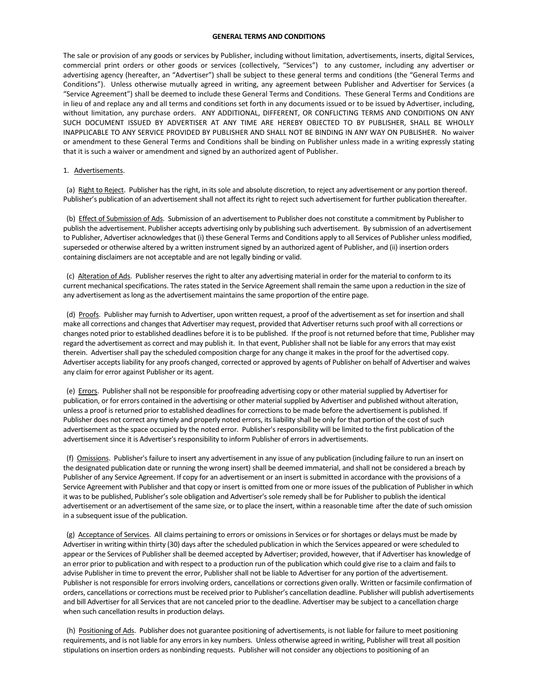## **GENERAL TERMS AND CONDITIONS**

The sale or provision of any goods or services by Publisher, including without limitation, advertisements, inserts, digital Services, commercial print orders or other goods or services (collectively, "Services") to any customer, including any advertiser or advertising agency (hereafter, an "Advertiser") shall be subject to these general terms and conditions (the "General Terms and Conditions"). Unless otherwise mutually agreed in writing, any agreement between Publisher and Advertiser for Services (a "Service Agreement") shall be deemed to include these General Terms and Conditions. These General Terms and Conditions are in lieu of and replace any and all terms and conditions set forth in any documents issued or to be issued by Advertiser, including, without limitation, any purchase orders. ANY ADDITIONAL, DIFFERENT, OR CONFLICTING TERMS AND CONDITIONS ON ANY SUCH DOCUMENT ISSUED BY ADVERTISER AT ANY TIME ARE HEREBY OBJECTED TO BY PUBLISHER, SHALL BE WHOLLY INAPPLICABLE TO ANY SERVICE PROVIDED BY PUBLISHER AND SHALL NOT BE BINDING IN ANY WAY ON PUBLISHER. No waiver or amendment to these General Terms and Conditions shall be binding on Publisher unless made in a writing expressly stating that it is such a waiver or amendment and signed by an authorized agent of Publisher.

## 1. Advertisements.

 (a) Right to Reject. Publisher has the right, in its sole and absolute discretion, to reject any advertisement or any portion thereof. Publisher's publication of an advertisement shall not affect its right to reject such advertisement for further publication thereafter.

 (b) Effect of Submission of Ads. Submission of an advertisement to Publisher does not constitute a commitment by Publisher to publish the advertisement. Publisher accepts advertising only by publishing such advertisement. By submission of an advertisement to Publisher, Advertiser acknowledges that (i) these General Terms and Conditions apply to all Services of Publisher unless modified, superseded or otherwise altered by a written instrument signed by an authorized agent of Publisher, and (ii) insertion orders containing disclaimers are not acceptable and are not legally binding or valid.

 (c) Alteration of Ads. Publisher reserves the right to alter any advertising material in order for the material to conform to its current mechanical specifications. The rates stated in the Service Agreement shall remain the same upon a reduction in the size of any advertisement as long as the advertisement maintains the same proportion of the entire page.

(d) Proofs. Publisher may furnish to Advertiser, upon written request, a proof of the advertisement as set for insertion and shall make all corrections and changes that Advertiser may request, provided that Advertiser returns such proof with all corrections or changes noted prior to established deadlines before it is to be published. If the proof is not returned before that time, Publisher may regard the advertisement as correct and may publish it. In that event, Publisher shall not be liable for any errors that may exist therein. Advertiser shall pay the scheduled composition charge for any change it makes in the proof for the advertised copy. Advertiser accepts liability for any proofs changed, corrected or approved by agents of Publisher on behalf of Advertiser and waives any claim for error against Publisher or its agent.

 (e) Errors. Publisher shall not be responsible for proofreading advertising copy or other material supplied by Advertiser for publication, or for errors contained in the advertising or other material supplied by Advertiser and published without alteration, unless a proof is returned prior to established deadlines for corrections to be made before the advertisement is published. If Publisher does not correct any timely and properly noted errors, its liability shall be only for that portion of the cost of such advertisement as the space occupied by the noted error. Publisher's responsibility will be limited to the first publication of the advertisement since it is Advertiser's responsibility to inform Publisher of errors in advertisements.

 (f) Omissions. Publisher's failure to insert any advertisement in any issue of any publication (including failure to run an insert on the designated publication date or running the wrong insert) shall be deemed immaterial, and shall not be considered a breach by Publisher of any Service Agreement. If copy for an advertisement or an insert is submitted in accordance with the provisions of a Service Agreement with Publisher and that copy or insert is omitted from one or more issues of the publication of Publisher in which it was to be published, Publisher's sole obligation and Advertiser's sole remedy shall be for Publisher to publish the identical advertisement or an advertisement of the same size, or to place the insert, within a reasonable time after the date of such omission in a subsequent issue of the publication.

 (g) Acceptance of Services. All claims pertaining to errors or omissions in Services or for shortages or delays must be made by Advertiser in writing within thirty (30) days after the scheduled publication in which the Services appeared or were scheduled to appear or the Services of Publisher shall be deemed accepted by Advertiser; provided, however, that if Advertiser has knowledge of an error prior to publication and with respect to a production run of the publication which could give rise to a claim and fails to advise Publisher in time to prevent the error, Publisher shall not be liable to Advertiser for any portion of the advertisement. Publisher is not responsible for errors involving orders, cancellations or corrections given orally. Written or facsimile confirmation of orders, cancellations or corrections must be received prior to Publisher's cancellation deadline. Publisher will publish advertisements and bill Advertiser for all Services that are not canceled prior to the deadline. Advertiser may be subject to a cancellation charge when such cancellation results in production delays.

 (h) Positioning of Ads. Publisher does not guarantee positioning of advertisements, is not liable for failure to meet positioning requirements, and is not liable for any errors in key numbers. Unless otherwise agreed in writing, Publisher will treat all position stipulations on insertion orders as nonbinding requests. Publisher will not consider any objections to positioning of an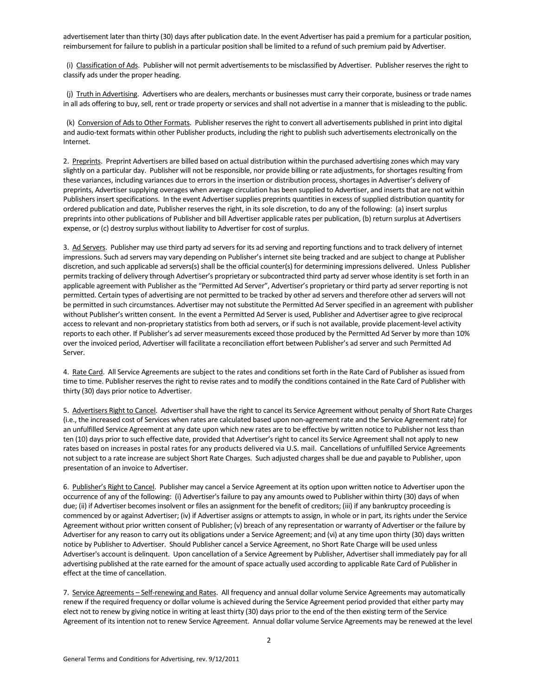advertisement later than thirty (30) days after publication date. In the event Advertiser has paid a premium for a particular position, reimbursement for failure to publish in a particular position shall be limited to a refund of such premium paid by Advertiser.

 (i) Classification of Ads. Publisher will not permit advertisements to be misclassified by Advertiser. Publisher reserves the right to classify ads under the proper heading.

 (j) Truth in Advertising. Advertisers who are dealers, merchants or businesses must carry their corporate, business or trade names in all ads offering to buy, sell, rent or trade property or services and shall not advertise in a manner that is misleading to the public.

 (k) Conversion of Ads to Other Formats. Publisher reserves the right to convert all advertisements published in print into digital and audio-text formats within other Publisher products, including the right to publish such advertisements electronically on the Internet.

2. Preprints. Preprint Advertisers are billed based on actual distribution within the purchased advertising zones which may vary slightly on a particular day. Publisher will not be responsible, nor provide billing or rate adjustments, for shortages resulting from these variances, including variances due to errors in the insertion or distribution process, shortages in Advertiser's delivery of preprints, Advertiser supplying overages when average circulation has been supplied to Advertiser, and inserts that are not within Publishers insert specifications. In the event Advertiser supplies preprints quantities in excess of supplied distribution quantity for ordered publication and date, Publisher reserves the right, in its sole discretion, to do any of the following: (a) insert surplus preprints into other publications of Publisher and bill Advertiser applicable rates per publication, (b) return surplus at Advertisers expense, or (c) destroy surplus without liability to Advertiser for cost of surplus.

3. Ad Servers. Publisher may use third party ad servers for its ad serving and reporting functions and to track delivery of internet impressions. Such ad servers may vary depending on Publisher's internet site being tracked and are subject to change at Publisher discretion, and such applicable ad servers(s) shall be the official counter(s) for determining impressions delivered. Unless Publisher permits tracking of delivery through Advertiser's proprietary or subcontracted third party ad server whose identity is set forth in an applicable agreement with Publisher as the "Permitted Ad Server", Advertiser's proprietary or third party ad server reporting is not permitted. Certain types of advertising are not permitted to be tracked by other ad servers and therefore other ad servers will not be permitted in such circumstances. Advertiser may not substitute the Permitted Ad Server specified in an agreement with publisher without Publisher's written consent. In the event a Permitted Ad Server is used, Publisher and Advertiser agree to give reciprocal access to relevant and non-proprietary statistics from both ad servers, or if such is not available, provide placement-level activity reports to each other. If Publisher's ad server measurements exceed those produced by the Permitted Ad Server by more than 10% over the invoiced period, Advertiser will facilitate a reconciliation effort between Publisher's ad server and such Permitted Ad Server.

4. Rate Card. All Service Agreements are subject to the rates and conditions set forth in the Rate Card of Publisher as issued from time to time. Publisher reserves the right to revise rates and to modify the conditions contained in the Rate Card of Publisher with thirty (30) days prior notice to Advertiser.

5. Advertisers Right to Cancel. Advertiser shall have the right to cancel its Service Agreement without penalty of Short Rate Charges (i.e., the increased cost of Services when rates are calculated based upon non-agreement rate and the Service Agreement rate) for an unfulfilled Service Agreement at any date upon which new rates are to be effective by written notice to Publisher not less than ten (10) days prior to such effective date, provided that Advertiser's right to cancel its Service Agreement shall not apply to new rates based on increases in postal rates for any products delivered via U.S. mail. Cancellations of unfulfilled Service Agreements not subject to a rate increase are subject Short Rate Charges. Such adjusted charges shall be due and payable to Publisher, upon presentation of an invoice to Advertiser.

6. Publisher's Right to Cancel. Publisher may cancel a Service Agreement at its option upon written notice to Advertiser upon the occurrence of any of the following: (i) Advertiser's failure to pay any amounts owed to Publisher within thirty (30) days of when due; (ii) if Advertiser becomes insolvent or files an assignment for the benefit of creditors; (iii) if any bankruptcy proceeding is commenced by or against Advertiser; (iv) if Advertiser assigns or attempts to assign, in whole or in part, its rights under the Service Agreement without prior written consent of Publisher; (v) breach of any representation or warranty of Advertiser or the failure by Advertiser for any reason to carry out its obligations under a Service Agreement; and (vi) at any time upon thirty (30) days written notice by Publisher to Advertiser. Should Publisher cancel a Service Agreement, no Short Rate Charge will be used unless Advertiser's account is delinquent. Upon cancellation of a Service Agreement by Publisher, Advertiser shall immediately pay for all advertising published at the rate earned for the amount of space actually used according to applicable Rate Card of Publisher in effect at the time of cancellation.

7. Service Agreements - Self-renewing and Rates. All frequency and annual dollar volume Service Agreements may automatically renew if the required frequency or dollar volume is achieved during the Service Agreement period provided that either party may elect not to renew by giving notice in writing at least thirty (30) days prior to the end of the then existing term of the Service Agreement of its intention not to renew Service Agreement. Annual dollar volume Service Agreements may be renewed at the level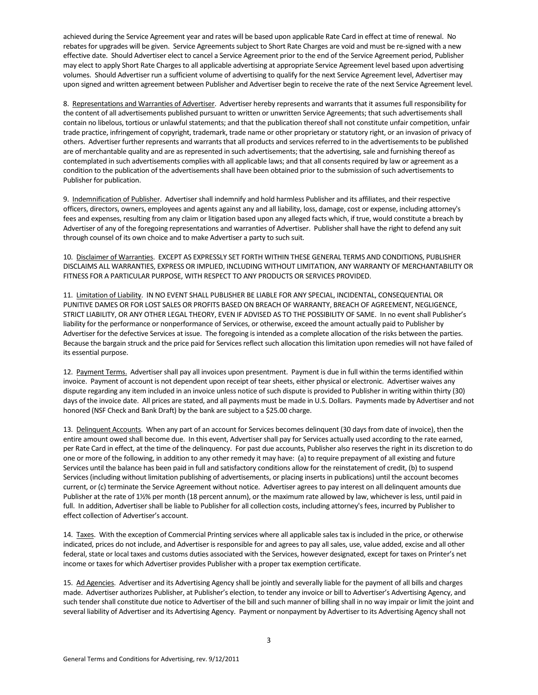achieved during the Service Agreement year and rates will be based upon applicable Rate Card in effect at time of renewal. No rebates for upgrades will be given. Service Agreements subject to Short Rate Charges are void and must be re-signed with a new effective date. Should Advertiser elect to cancel a Service Agreement prior to the end of the Service Agreement period, Publisher may elect to apply Short Rate Charges to all applicable advertising at appropriate Service Agreement level based upon advertising volumes. Should Advertiser run a sufficient volume of advertising to qualify for the next Service Agreement level, Advertiser may upon signed and written agreement between Publisher and Advertiser begin to receive the rate of the next Service Agreement level.

8. Representations and Warranties of Advertiser. Advertiser hereby represents and warrants that it assumes full responsibility for the content of all advertisements published pursuant to written or unwritten Service Agreements; that such advertisements shall contain no libelous, tortious or unlawful statements; and that the publication thereof shall not constitute unfair competition, unfair trade practice, infringement of copyright, trademark, trade name or other proprietary or statutory right, or an invasion of privacy of others. Advertiser further represents and warrants that all products and services referred to in the advertisements to be published are of merchantable quality and are as represented in such advertisements; that the advertising, sale and furnishing thereof as contemplated in such advertisements complies with all applicable laws; and that all consents required by law or agreement as a condition to the publication of the advertisements shall have been obtained prior to the submission of such advertisements to Publisher for publication.

9. Indemnification of Publisher. Advertiser shall indemnify and hold harmless Publisher and its affiliates, and their respective officers, directors, owners, employees and agents against any and all liability, loss, damage, cost or expense, including attorney's fees and expenses, resulting from any claim or litigation based upon any alleged facts which, if true, would constitute a breach by Advertiser of any of the foregoing representations and warranties of Advertiser. Publisher shall have the right to defend any suit through counsel of its own choice and to make Advertiser a party to such suit.

10. Disclaimer of Warranties. EXCEPT AS EXPRESSLY SET FORTH WITHIN THESE GENERAL TERMS AND CONDITIONS, PUBLISHER DISCLAIMS ALL WARRANTIES, EXPRESS OR IMPLIED, INCLUDING WITHOUT LIMITATION, ANY WARRANTY OF MERCHANTABILITY OR FITNESS FOR A PARTICULAR PURPOSE, WITH RESPECT TO ANY PRODUCTS OR SERVICES PROVIDED.

11. Limitation of Liability. IN NO EVENT SHALL PUBLISHER BE LIABLE FOR ANY SPECIAL, INCIDENTAL, CONSEQUENTIAL OR PUNITIVE DAMES OR FOR LOST SALES OR PROFITS BASED ON BREACH OF WARRANTY, BREACH OF AGREEMENT, NEGLIGENCE, STRICT LIABILITY, OR ANY OTHER LEGAL THEORY, EVEN IF ADVISED AS TO THE POSSIBILITY OF SAME. In no event shall Publisher's liability for the performance or nonperformance of Services, or otherwise, exceed the amount actually paid to Publisher by Advertiser for the defective Services at issue. The foregoing is intended as a complete allocation of the risks between the parties. Because the bargain struck and the price paid for Services reflect such allocation this limitation upon remedies will not have failed of its essential purpose.

12. Payment Terms. Advertiser shall pay all invoices upon presentment. Payment is due in full within the terms identified within invoice. Payment of account is not dependent upon receipt of tear sheets, either physical or electronic. Advertiser waives any dispute regarding any item included in an invoice unless notice of such dispute is provided to Publisher in writing within thirty (30) days of the invoice date. All prices are stated, and all payments must be made in U.S. Dollars. Payments made by Advertiser and not honored (NSF Check and Bank Draft) by the bank are subject to a \$25.00 charge.

13. Delinquent Accounts. When any part of an account for Services becomes delinquent (30 days from date of invoice), then the entire amount owed shall become due. In this event, Advertiser shall pay for Services actually used according to the rate earned, per Rate Card in effect, at the time of the delinquency. For past due accounts, Publisher also reserves the right in its discretion to do one or more of the following, in addition to any other remedy it may have: (a) to require prepayment of all existing and future Services until the balance has been paid in full and satisfactory conditions allow for the reinstatement of credit, (b) to suspend Services (including without limitation publishing of advertisements, or placing inserts in publications) until the account becomes current, or (c) terminate the Service Agreement without notice. Advertiser agrees to pay interest on all delinquent amounts due Publisher at the rate of 1½% per month (18 percent annum), or the maximum rate allowed by law, whichever is less, until paid in full. In addition, Advertiser shall be liable to Publisher for all collection costs, including attorney's fees, incurred by Publisher to effect collection of Advertiser's account.

14. Taxes. With the exception of Commercial Printing services where all applicable sales tax is included in the price, or otherwise indicated, prices do not include, and Advertiser is responsible for and agrees to pay all sales, use, value added, excise and all other federal, state or local taxes and customs duties associated with the Services, however designated, except for taxes on Printer's net income or taxes for which Advertiser provides Publisher with a proper tax exemption certificate.

15. Ad Agencies. Advertiser and its Advertising Agency shall be jointly and severally liable for the payment of all bills and charges made. Advertiser authorizes Publisher, at Publisher's election, to tender any invoice or bill to Advertiser's Advertising Agency, and such tender shall constitute due notice to Advertiser of the bill and such manner of billing shall in no way impair or limit the joint and several liability of Advertiser and its Advertising Agency. Payment or nonpayment by Advertiser to its Advertising Agency shall not